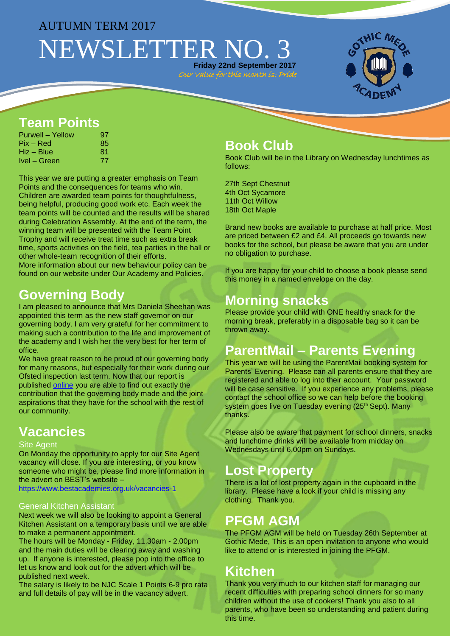#### AUTUMN TERM 2017

# NEWSLETTER NO. 3 **Friday 22nd September 2017**

Our Value for this month is: Pride



### **Team Points**

| Purwell – Yellow | 97 |
|------------------|----|
| Pix – Red        | 85 |
| Hiz – Blue       | 81 |
| Ivel – Green     | 77 |

This year we are putting a greater emphasis on Team Points and the consequences for teams who win. Children are awarded team points for thoughtfulness, being helpful, producing good work etc. Each week the team points will be counted and the results will be shared during Celebration Assembly. At the end of the term, the winning team will be presented with the Team Point Trophy and will receive treat time such as extra break time, sports activities on the field, tea parties in the hall or other whole-team recognition of their efforts. More information about our new behaviour policy can be

found on our website under Our Academy and Policies.

### **Governing Body**

I am pleased to announce that Mrs Daniela Sheehan was appointed this term as the new staff governor on our governing body. I am very grateful for her commitment to making such a contribution to the life and improvement of the academy and I wish her the very best for her term of office.

We have great reason to be proud of our governing body for many reasons, but especially for their work during our Ofsted inspection last term. Now that our report is published [online](https://reports.ofsted.gov.uk/inspection-reports/find-inspection-report/provider/ELS/140281) you are able to find out exactly the contribution that the governing body made and the joint aspirations that they have for the school with the rest of our community.

## **Vacancies**

#### Site Agent

On Monday the opportunity to apply for our Site Agent vacancy will close. If you are interesting, or you know someone who might be, please find more information in the advert on BEST's website –

<https://www.bestacademies.org.uk/vacancies-1>

#### General Kitchen Assistant

Next week we will also be looking to appoint a General Kitchen Assistant on a temporary basis until we are able to make a permanent appointment.

The hours will be Monday - Friday, 11.30am - 2.00pm and the main duties will be clearing away and washing up. If anyone is interested, please pop into the office to let us know and look out for the advert which will be published next week.

The salary is likely to be NJC Scale 1 Points 6-9 pro rata and full details of pay will be in the vacancy advert.

#### **Book Club**

Book Club will be in the Library on Wednesday lunchtimes as follows:

27th Sept Chestnut 4th Oct Sycamore 11th Oct Willow 18th Oct Maple

Brand new books are available to purchase at half price. Most are priced between £2 and £4. All proceeds go towards new books for the school, but please be aware that you are under no obligation to purchase.

If you are happy for your child to choose a book please send this money in a named envelope on the day.

### **Morning snacks**

Please provide your child with ONE healthy snack for the morning break, preferably in a disposable bag so it can be thrown away.

## **ParentMail – Parents Evening**

This year we will be using the ParentMail booking system for Parents' Evening. Please can all parents ensure that they are registered and able to log into their account. Your password will be case sensitive. If you experience any problems, please contact the school office so we can help before the booking system goes live on Tuesday evening (25<sup>th</sup> Sept). Many thanks.

Please also be aware that payment for school dinners, snacks and lunchtime drinks will be available from midday on Wednesdays until 6.00pm on Sundays.

### **Lost Property**

There is a lot of lost property again in the cupboard in the library. Please have a look if your child is missing any clothing. Thank you.

### **PFGM AGM**

The PFGM AGM will be held on Tuesday 26th September at Gothic Mede, This is an open invitation to anyone who would like to attend or is interested in joining the PFGM.

#### **Kitchen**

Thank you very much to our kitchen staff for managing our recent difficulties with preparing school dinners for so many children without the use of cookers! Thank you also to all parents, who have been so understanding and patient during this time.